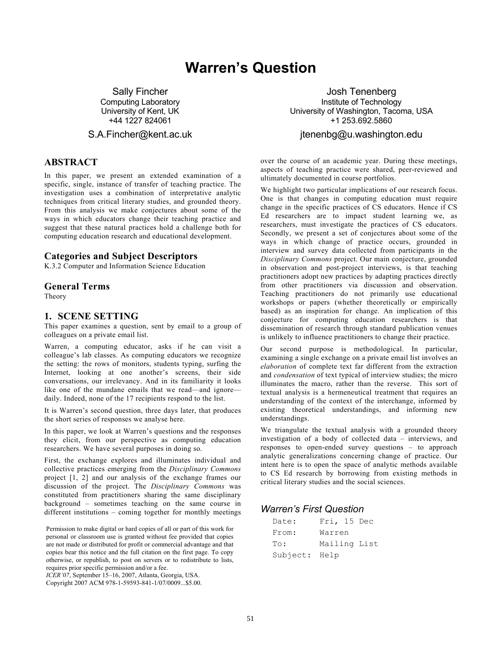# **Warren's Question**

Sally Fincher Computing Laboratory University of Kent, UK +44 1227 824061

# S.A.Fincher@kent.ac.uk

## **ABSTRACT**

In this paper, we present an extended examination of a specific, single, instance of transfer of teaching practice. The investigation uses a combination of interpretative analytic techniques from critical literary studies, and grounded theory. From this analysis we make conjectures about some of the ways in which educators change their teaching practice and suggest that these natural practices hold a challenge both for computing education research and educational development.

#### **Categories and Subject Descriptors**

K.3.2 Computer and Information Science Education

#### **General Terms**

Theory

## **1. SCENE SETTING**

This paper examines a question, sent by email to a group of colleagues on a private email list.

Warren, a computing educator, asks if he can visit a colleague's lab classes. As computing educators we recognize the setting: the rows of monitors, students typing, surfing the Internet, looking at one another's screens, their side conversations, our irrelevancy. And in its familiarity it looks like one of the mundane emails that we read—and ignore daily. Indeed, none of the 17 recipients respond to the list.

It is Warren's second question, three days later, that produces the short series of responses we analyse here.

In this paper, we look at Warren's questions and the responses they elicit, from our perspective as computing education researchers. We have several purposes in doing so.

First, the exchange explores and illuminates individual and collective practices emerging from the *Disciplinary Commons*  project [1, 2] and our analysis of the exchange frames our discussion of the project. The *Disciplinary Commons* was constituted from practitioners sharing the same disciplinary background – sometimes teaching on the same course in different institutions – coming together for monthly meetings

Permission to make digital or hard copies of all or part of this work for personal or classroom use is granted without fee provided that copies are not made or distributed for profit or commercial advantage and that copies bear this notice and the full citation on the first page. To copy otherwise, or republish, to post on servers or to redistribute to lists, requires prior specific permission and/or a fee.

*ICER'07*, September 15–16, 2007, Atlanta, Georgia, USA. Copyright 2007 ACM 978-1-59593-841-1/07/0009...\$5.00.

Josh Tenenberg Institute of Technology University of Washington, Tacoma, USA +1 253.692.5860

## jtenenbg@u.washington.edu

over the course of an academic year. During these meetings, aspects of teaching practice were shared, peer-reviewed and ultimately documented in course portfolios.

We highlight two particular implications of our research focus. One is that changes in computing education must require change in the specific practices of CS educators. Hence if CS Ed researchers are to impact student learning we, as researchers, must investigate the practices of CS educators. Secondly, we present a set of conjectures about some of the ways in which change of practice occurs, grounded in interview and survey data collected from participants in the *Disciplinary Commons* project. Our main conjecture, grounded in observation and post-project interviews, is that teaching practitioners adopt new practices by adapting practices directly from other practitioners via discussion and observation. Teaching practitioners do not primarily use educational workshops or papers (whether theoretically or empirically based) as an inspiration for change. An implication of this conjecture for computing education researchers is that dissemination of research through standard publication venues is unlikely to influence practitioners to change their practice.

Our second purpose is methodological. In particular, examining a single exchange on a private email list involves an *elaboration* of complete text far different from the extraction and *condensation* of text typical of interview studies; the micro illuminates the macro, rather than the reverse. This sort of textual analysis is a hermeneutical treatment that requires an understanding of the context of the interchange, informed by existing theoretical understandings, and informing new understandings.

We triangulate the textual analysis with a grounded theory investigation of a body of collected data – interviews, and responses to open-ended survey questions – to approach analytic generalizations concerning change of practice. Our intent here is to open the space of analytic methods available to CS Ed research by borrowing from existing methods in critical literary studies and the social sciences.

# *Warren's First Question*

| Date:         | Fri, 15 Dec  |  |
|---------------|--------------|--|
| From:         | Warren       |  |
| To:           | Mailing List |  |
| Subject: Help |              |  |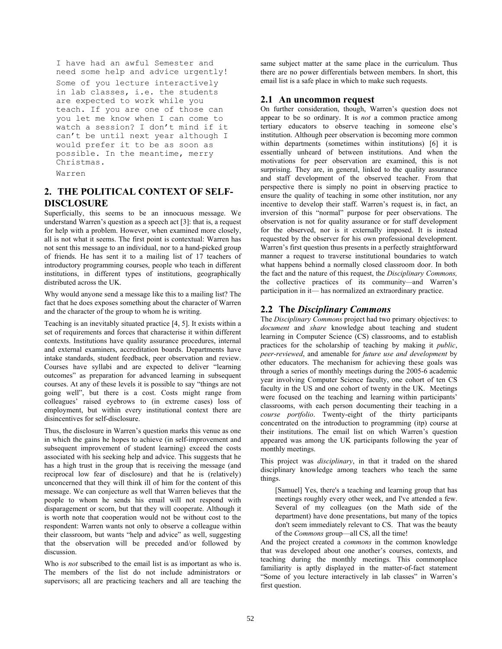```
I have had an awful Semester and 
need some help and advice urgently! 
Some of you lecture interactively 
in lab classes, i.e. the students 
are expected to work while you 
teach. If you are one of those can 
you let me know when I can come to 
watch a session? I don't mind if it 
can't be until next year although I 
would prefer it to be as soon as 
possible. In the meantime, merry 
Christmas.
```

```
Warren
```
# **2. THE POLITICAL CONTEXT OF SELF-DISCLOSURE**

Superficially, this seems to be an innocuous message. We understand Warren's question as a speech act [3]: that is, a request for help with a problem. However, when examined more closely, all is not what it seems. The first point is contextual: Warren has not sent this message to an individual, nor to a hand-picked group of friends. He has sent it to a mailing list of 17 teachers of introductory programming courses, people who teach in different institutions, in different types of institutions, geographically distributed across the UK.

Why would anyone send a message like this to a mailing list? The fact that he does exposes something about the character of Warren and the character of the group to whom he is writing.

Teaching is an inevitably situated practice [4, 5]. It exists within a set of requirements and forces that characterise it within different contexts. Institutions have quality assurance procedures, internal and external examiners, accreditation boards. Departments have intake standards, student feedback, peer observation and review. Courses have syllabi and are expected to deliver "learning outcomes" as preparation for advanced learning in subsequent courses. At any of these levels it is possible to say "things are not going well", but there is a cost. Costs might range from colleagues' raised eyebrows to (in extreme cases) loss of employment, but within every institutional context there are disincentives for self-disclosure.

Thus, the disclosure in Warren's question marks this venue as one in which the gains he hopes to achieve (in self-improvement and subsequent improvement of student learning) exceed the costs associated with his seeking help and advice. This suggests that he has a high trust in the group that is receiving the message (and reciprocal low fear of disclosure) and that he is (relatively) unconcerned that they will think ill of him for the content of this message. We can conjecture as well that Warren believes that the people to whom he sends his email will not respond with disparagement or scorn, but that they will cooperate. Although it is worth note that cooperation would not be without cost to the respondent: Warren wants not only to observe a colleague within their classroom, but wants "help and advice" as well, suggesting that the observation will be preceded and/or followed by discussion.

Who is *not* subscribed to the email list is as important as who is. The members of the list do not include administrators or supervisors; all are practicing teachers and all are teaching the same subject matter at the same place in the curriculum. Thus there are no power differentials between members. In short, this email list is a safe place in which to make such requests.

# **2.1 An uncommon request**

On further consideration, though, Warren's question does not appear to be so ordinary. It is *not* a common practice among tertiary educators to observe teaching in someone else's institution. Although peer observation is becoming more common within departments (sometimes within institutions) [6] it is essentially unheard of between institutions. And when the motivations for peer observation are examined, this is not surprising. They are, in general, linked to the quality assurance and staff development of the observed teacher. From that perspective there is simply no point in observing practice to ensure the quality of teaching in some other institution, nor any incentive to develop their staff. Warren's request is, in fact, an inversion of this "normal" purpose for peer observations. The observation is not for quality assurance or for staff development for the observed, nor is it externally imposed. It is instead requested by the observer for his own professional development. Warren's first question thus presents in a perfectly straightforward manner a request to traverse institutional boundaries to watch what happens behind a normally closed classroom door. In both the fact and the nature of this request, the *Disciplinary Commons,* the collective practices of its community*—*and Warren's participation in it— has normalized an extraordinary practice.

# **2.2 The** *Disciplinary Commons*

The *Disciplinary Commons* project had two primary objectives: to *document* and *share* knowledge about teaching and student learning in Computer Science (CS) classrooms, and to establish practices for the scholarship of teaching by making it *public*, *peer-reviewed*, and amenable for *future use and development* by other educators. The mechanism for achieving these goals was through a series of monthly meetings during the 2005-6 academic year involving Computer Science faculty, one cohort of ten CS faculty in the US and one cohort of twenty in the UK. Meetings were focused on the teaching and learning within participants' classrooms, with each person documenting their teaching in a *course portfolio*. Twenty-eight of the thirty participants concentrated on the introduction to programming (itp) course at their institutions. The email list on which Warren's question appeared was among the UK participants following the year of monthly meetings.

This project was *disciplinary*, in that it traded on the shared disciplinary knowledge among teachers who teach the same things.

[Samuel] Yes, there's a teaching and learning group that has meetings roughly every other week, and I've attended a few. Several of my colleagues (on the Math side of the department) have done presentations, but many of the topics don't seem immediately relevant to CS. That was the beauty of the *Commons* group—all CS, all the time!

And the project created a *commons* in the common knowledge that was developed about one another's courses, contexts, and teaching during the monthly meetings. This commonplace familiarity is aptly displayed in the matter-of-fact statement "Some of you lecture interactively in lab classes" in Warren's first question.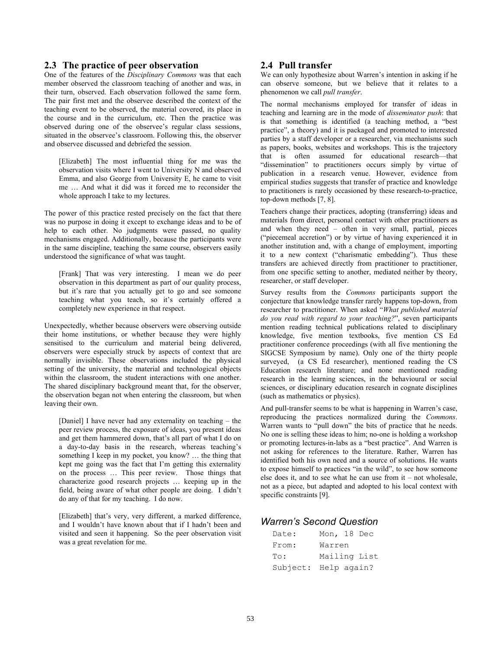#### **2.3 The practice of peer observation**

One of the features of the *Disciplinary Commons* was that each member observed the classroom teaching of another and was, in their turn, observed. Each observation followed the same form. The pair first met and the observee described the context of the teaching event to be observed, the material covered, its place in the course and in the curriculum, etc. Then the practice was observed during one of the observee's regular class sessions, situated in the observee's classroom. Following this, the observer and observee discussed and debriefed the session.

[Elizabeth] The most influential thing for me was the observation visits where I went to University N and observed Emma, and also George from University E, he came to visit me … And what it did was it forced me to reconsider the whole approach I take to my lectures.

The power of this practice rested precisely on the fact that there was no purpose in doing it except to exchange ideas and to be of help to each other. No judgments were passed, no quality mechanisms engaged. Additionally, because the participants were in the same discipline, teaching the same course, observers easily understood the significance of what was taught.

[Frank] That was very interesting. I mean we do peer observation in this department as part of our quality process, but it's rare that you actually get to go and see someone teaching what you teach, so it's certainly offered a completely new experience in that respect.

Unexpectedly, whether because observers were observing outside their home institutions, or whether because they were highly sensitised to the curriculum and material being delivered, observers were especially struck by aspects of context that are normally invisible. These observations included the physical setting of the university, the material and technological objects within the classroom, the student interactions with one another. The shared disciplinary background meant that, for the observer, the observation began not when entering the classroom, but when leaving their own.

[Daniel] I have never had any externality on teaching – the peer review process, the exposure of ideas, you present ideas and get them hammered down, that's all part of what I do on a day-to-day basis in the research, whereas teaching's something I keep in my pocket, you know? … the thing that kept me going was the fact that I'm getting this externality on the process … This peer review. Those things that characterize good research projects … keeping up in the field, being aware of what other people are doing. I didn't do any of that for my teaching. I do now.

[Elizabeth] that's very, very different, a marked difference, and I wouldn't have known about that if I hadn't been and visited and seen it happening. So the peer observation visit was a great revelation for me.

#### **2.4 Pull transfer**

We can only hypothesize about Warren's intention in asking if he can observe someone, but we believe that it relates to a phenomenon we call *pull transfer*.

The normal mechanisms employed for transfer of ideas in teaching and learning are in the mode of *disseminator push*: that is that something is identified (a teaching method, a "best practice", a theory) and it is packaged and promoted to interested parties by a staff developer or a researcher, via mechanisms such as papers, books, websites and workshops. This is the trajectory that is often assumed for educational research—that "dissemination" to practitioners occurs simply by virtue of publication in a research venue. However, evidence from empirical studies suggests that transfer of practice and knowledge to practitioners is rarely occasioned by these research-to-practice, top-down methods [7, 8].

Teachers change their practices, adopting (transferring) ideas and materials from direct, personal contact with other practitioners as and when they need – often in very small, partial, pieces ("piecemeal accretion") or by virtue of having experienced it in another institution and, with a change of employment, importing it to a new context ("charismatic embedding"). Thus these transfers are achieved directly from practitioner to practitioner, from one specific setting to another, mediated neither by theory, researcher, or staff developer.

Survey results from the *Commons* participants support the conjecture that knowledge transfer rarely happens top-down, from researcher to practitioner. When asked "*What published material do you read with regard to your teaching?*", seven participants mention reading technical publications related to disciplinary knowledge, five mention textbooks, five mention CS Ed practitioner conference proceedings (with all five mentioning the SIGCSE Symposium by name). Only one of the thirty people surveyed, (a CS Ed researcher), mentioned reading the CS Education research literature; and none mentioned reading research in the learning sciences, in the behavioural or social sciences, or disciplinary education research in cognate disciplines (such as mathematics or physics).

And pull-transfer seems to be what is happening in Warren's case, reproducing the practices normalized during the *Commons*. Warren wants to "pull down" the bits of practice that he needs. No one is selling these ideas to him; no-one is holding a workshop or promoting lectures-in-labs as a "best practice". And Warren is not asking for references to the literature. Rather, Warren has identified both his own need and a source of solutions. He wants to expose himself to practices "in the wild", to see how someone else does it, and to see what he can use from it – not wholesale, not as a piece, but adapted and adopted to his local context with specific constraints [9].

# *Warren's Second Question*

| Date: | Mon, 18 Dec          |
|-------|----------------------|
| From: | Warren               |
| To:   | Mailing List         |
|       | Subject: Help again? |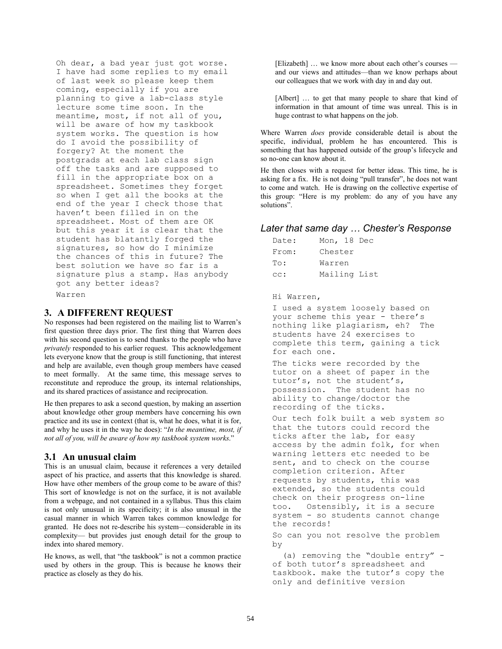Oh dear, a bad year just got worse. I have had some replies to my email of last week so please keep them coming, especially if you are planning to give a lab-class style lecture some time soon. In the meantime, most, if not all of you, will be aware of how my taskbook system works. The question is how do I avoid the possibility of forgery? At the moment the postgrads at each lab class sign off the tasks and are supposed to fill in the appropriate box on a spreadsheet. Sometimes they forget so when I get all the books at the end of the year I check those that haven't been filled in on the spreadsheet. Most of them are OK but this year it is clear that the student has blatantly forged the signatures, so how do I minimize the chances of this in future? The best solution we have so far is a signature plus a stamp. Has anybody got any better ideas? Warren

#### **3. A DIFFERENT REQUEST**

No responses had been registered on the mailing list to Warren's first question three days prior. The first thing that Warren does with his second question is to send thanks to the people who have *privately* responded to his earlier request. This acknowledgement lets everyone know that the group is still functioning, that interest and help are available, even though group members have ceased to meet formally. At the same time, this message serves to reconstitute and reproduce the group, its internal relationships, and its shared practices of assistance and reciprocation.

He then prepares to ask a second question, by making an assertion about knowledge other group members have concerning his own practice and its use in context (that is, what he does, what it is for, and why he uses it in the way he does): "*In the meantime, most, if not all of you, will be aware of how my taskbook system works*."

#### **3.1 An unusual claim**

This is an unusual claim, because it references a very detailed aspect of his practice, and asserts that this knowledge is shared. How have other members of the group come to be aware of this? This sort of knowledge is not on the surface, it is not available from a webpage, and not contained in a syllabus. Thus this claim is not only unusual in its specificity; it is also unusual in the casual manner in which Warren takes common knowledge for granted. He does not re-describe his system—considerable in its complexity— but provides just enough detail for the group to index into shared memory.

He knows, as well, that "the taskbook" is not a common practice used by others in the group. This is because he knows their practice as closely as they do his.

[Elizabeth] … we know more about each other's courses and our views and attitudes—than we know perhaps about our colleagues that we work with day in and day out.

[Albert] … to get that many people to share that kind of information in that amount of time was unreal. This is in huge contrast to what happens on the job.

Where Warren *does* provide considerable detail is about the specific, individual, problem he has encountered. This is something that has happened outside of the group's lifecycle and so no-one can know about it.

He then closes with a request for better ideas. This time, he is asking for a fix. He is not doing "pull transfer", he does not want to come and watch. He is drawing on the collective expertise of this group: "Here is my problem: do any of you have any solutions".

#### *Later that same day … Chester's Response*

| Date: | Mon, 18 Dec  |  |  |
|-------|--------------|--|--|
| From: | Chester      |  |  |
| To:   | Warren       |  |  |
| cc:   | Mailing List |  |  |

#### Hi Warren,

I used a system loosely based on your scheme this year - there's nothing like plagiarism, eh? The students have 24 exercises to complete this term, gaining a tick for each one.

The ticks were recorded by the tutor on a sheet of paper in the tutor's, not the student's, possession. The student has no ability to change/doctor the recording of the ticks.

Our tech folk built a web system so that the tutors could record the ticks after the lab, for easy access by the admin folk, for when warning letters etc needed to be sent, and to check on the course completion criterion. After requests by students, this was extended, so the students could check on their progress on-line too. Ostensibly, it is a secure system - so students cannot change the records!

So can you not resolve the problem by

 (a) removing the "double entry" of both tutor's spreadsheet and taskbook. make the tutor's copy the only and definitive version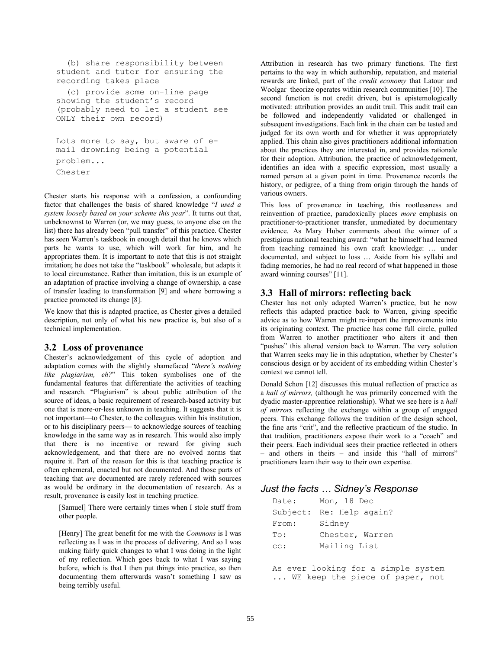```
 (b) share responsibility between 
student and tutor for ensuring the 
recording takes place 
   (c) provide some on-line page 
showing the student's record 
(probably need to let a student see 
ONLY their own record) 
Lots more to say, but aware of e-
```

```
mail drowning being a potential 
problem... 
Chester
```
Chester starts his response with a confession, a confounding factor that challenges the basis of shared knowledge "*I used a system loosely based on your scheme this year*". It turns out that, unbeknownst to Warren (or, we may guess, to anyone else on the list) there has already been "pull transfer" of this practice. Chester has seen Warren's taskbook in enough detail that he knows which parts he wants to use, which will work for him, and he appropriates them. It is important to note that this is not straight imitation; he does not take the "taskbook" wholesale, but adapts it to local circumstance. Rather than imitation, this is an example of an adaptation of practice involving a change of ownership, a case of transfer leading to transformation [9] and where borrowing a practice promoted its change [8].

We know that this is adapted practice, as Chester gives a detailed description, not only of what his new practice is, but also of a technical implementation.

## **3.2 Loss of provenance**

Chester's acknowledgement of this cycle of adoption and adaptation comes with the slightly shamefaced "*there's nothing like plagiarism, eh?*" This token symbolises one of the fundamental features that differentiate the activities of teaching and research. "Plagiarism" is about public attribution of the source of ideas, a basic requirement of research-based activity but one that is more-or-less unknown in teaching. It suggests that it is not important—to Chester, to the colleagues within his institution, or to his disciplinary peers— to acknowledge sources of teaching knowledge in the same way as in research. This would also imply that there is no incentive or reward for giving such acknowledgement, and that there are no evolved norms that require it. Part of the reason for this is that teaching practice is often ephemeral, enacted but not documented. And those parts of teaching that *are* documented are rarely referenced with sources as would be ordinary in the documentation of research. As a result, provenance is easily lost in teaching practice.

[Samuel] There were certainly times when I stole stuff from other people.

[Henry] The great benefit for me with the *Commons* is I was reflecting as I was in the process of delivering. And so I was making fairly quick changes to what I was doing in the light of my reflection. Which goes back to what I was saying before, which is that I then put things into practice, so then documenting them afterwards wasn't something I saw as being terribly useful.

Attribution in research has two primary functions. The first pertains to the way in which authorship, reputation, and material rewards are linked, part of the *credit economy* that Latour and Woolgar theorize operates within research communities [10]. The second function is not credit driven, but is epistemologically motivated: attribution provides an audit trail. This audit trail can be followed and independently validated or challenged in subsequent investigations. Each link in the chain can be tested and judged for its own worth and for whether it was appropriately applied. This chain also gives practitioners additional information about the practices they are interested in, and provides rationale for their adoption. Attribution, the practice of acknowledgement, identifies an idea with a specific expression, most usually a named person at a given point in time. Provenance records the history, or pedigree, of a thing from origin through the hands of various owners.

This loss of provenance in teaching, this rootlessness and reinvention of practice, paradoxically places *more* emphasis on practitioner-to-practitioner transfer, unmediated by documentary evidence. As Mary Huber comments about the winner of a prestigious national teaching award: "what he himself had learned from teaching remained his own craft knowledge: … under documented, and subject to loss … Aside from his syllabi and fading memories, he had no real record of what happened in those award winning courses" [11].

#### **3.3 Hall of mirrors: reflecting back**

Chester has not only adapted Warren's practice, but he now reflects this adapted practice back to Warren, giving specific advice as to how Warren might re-import the improvements into its originating context. The practice has come full circle, pulled from Warren to another practitioner who alters it and then "pushes" this altered version back to Warren. The very solution that Warren seeks may lie in this adaptation, whether by Chester's conscious design or by accident of its embedding within Chester's context we cannot tell.

Donald Schon [12] discusses this mutual reflection of practice as a *hall of mirrors,* (although he was primarily concerned with the dyadic master-apprentice relationship). What we see here is a *hall of mirrors* reflecting the exchange within a group of engaged peers. This exchange follows the tradition of the design school, the fine arts "crit", and the reflective practicum of the studio. In that tradition, practitioners expose their work to a "coach" and their peers. Each individual sees their practice reflected in others – and others in theirs – and inside this "hall of mirrors" practitioners learn their way to their own expertise.

## *Just the facts … Sidney's Response*

| Date: | Mon, 18 Dec              |
|-------|--------------------------|
|       | Subject: Re: Help again? |
| From: | Sidney                   |
| To:   | Chester, Warren          |
| CC:   | Mailing List             |

As ever looking for a simple system ... WE keep the piece of paper, not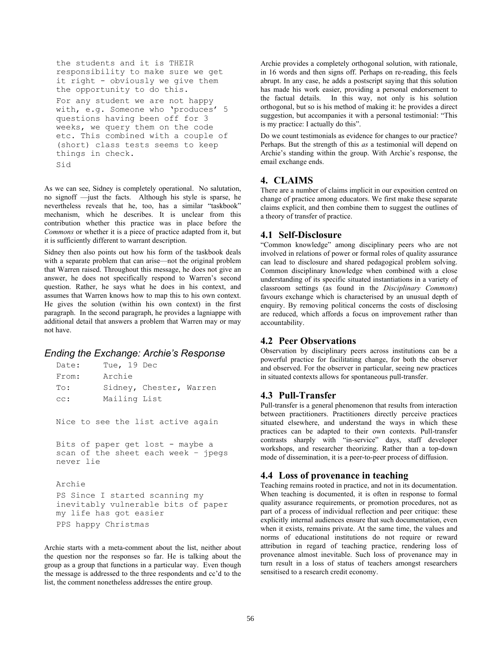```
the students and it is THEIR 
responsibility to make sure we get 
it right - obviously we give them 
the opportunity to do this. 
For any student we are not happy<br>with, e.g. Someone who 'produces' 5
with, e.g. Someone who 'produces'
questions having been off for 3 
weeks, we query them on the code 
etc. This combined with a couple of 
(short) class tests seems to keep 
things in check. 
Sid
```
As we can see, Sidney is completely operational. No salutation, no signoff —just the facts. Although his style is sparse, he nevertheless reveals that he, too, has a similar "taskbook" mechanism, which he describes. It is unclear from this contribution whether this practice was in place before the *Commons* or whether it is a piece of practice adapted from it, but it is sufficiently different to warrant description.

Sidney then also points out how his form of the taskbook deals with a separate problem that can arise—not the original problem that Warren raised. Throughout this message, he does not give an answer, he does not specifically respond to Warren's second question. Rather, he says what he does in his context, and assumes that Warren knows how to map this to his own context. He gives the solution (within his own context) in the first paragraph. In the second paragraph, he provides a lagniappe with additional detail that answers a problem that Warren may or may not have.

# *Ending the Exchange: Archie's Response*

| Tue, 19 Dec<br>Date:                                                                                      |
|-----------------------------------------------------------------------------------------------------------|
| Archie<br>From:                                                                                           |
| Sidney, Chester, Warren<br>$\texttt{To:}$                                                                 |
| Mailing List<br>cc:                                                                                       |
| Nice to see the list active again                                                                         |
| Bits of paper get lost - maybe a<br>scan of the sheet each week - jpegs<br>never lie                      |
| Archie<br>PS Since I started scanning my<br>inevitably vulnerable bits of paper<br>my life has got easier |
| PPS happy Christmas                                                                                       |

Archie starts with a meta-comment about the list, neither about the question nor the responses so far. He is talking about the group as a group that functions in a particular way. Even though the message is addressed to the three respondents and cc'd to the list, the comment nonetheless addresses the entire group.

Archie provides a completely orthogonal solution, with rationale, in 16 words and then signs off. Perhaps on re-reading, this feels abrupt. In any case, he adds a postscript saying that this solution has made his work easier, providing a personal endorsement to the factual details. In this way, not only is his solution orthogonal, but so is his method of making it: he provides a direct suggestion, but accompanies it with a personal testimonial: "This is my practice: I actually do this".

Do we count testimonials as evidence for changes to our practice? Perhaps. But the strength of this *as* a testimonial will depend on Archie's standing within the group. With Archie's response, the email exchange ends.

# **4. CLAIMS**

There are a number of claims implicit in our exposition centred on change of practice among educators. We first make these separate claims explicit, and then combine them to suggest the outlines of a theory of transfer of practice.

## **4.1 Self-Disclosure**

"Common knowledge" among disciplinary peers who are not involved in relations of power or formal roles of quality assurance can lead to disclosure and shared pedagogical problem solving. Common disciplinary knowledge when combined with a close understanding of its specific situated instantiations in a variety of classroom settings (as found in the *Disciplinary Commons*) favours exchange which is characterised by an unusual depth of enquiry. By removing political concerns the costs of disclosing are reduced, which affords a focus on improvement rather than accountability.

## **4.2 Peer Observations**

Observation by disciplinary peers across institutions can be a powerful practice for facilitating change, for both the observer and observed. For the observer in particular, seeing new practices in situated contexts allows for spontaneous pull-transfer.

#### **4.3 Pull-Transfer**

Pull-transfer is a general phenomenon that results from interaction between practitioners. Practitioners directly perceive practices situated elsewhere, and understand the ways in which these practices can be adapted to their own contexts. Pull-transfer contrasts sharply with "in-service" days, staff developer workshops, and researcher theorizing. Rather than a top-down mode of dissemination, it is a peer-to-peer process of diffusion.

## **4.4 Loss of provenance in teaching**

Teaching remains rooted in practice, and not in its documentation. When teaching is documented, it is often in response to formal quality assurance requirements, or promotion procedures, not as part of a process of individual reflection and peer critique: these explicitly internal audiences ensure that such documentation, even when it exists, remains private. At the same time, the values and norms of educational institutions do not require or reward attribution in regard of teaching practice, rendering loss of provenance almost inevitable. Such loss of provenance may in turn result in a loss of status of teachers amongst researchers sensitised to a research credit economy.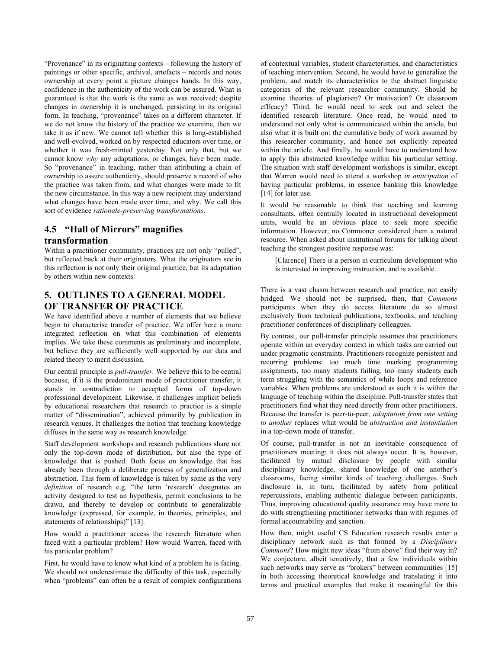"Provenance" in its originating contexts – following the history of paintings or other specific, archival, artefacts – records and notes ownership at every point a picture changes hands. In this way, confidence in the authenticity of the work can be assured. What is guaranteed is that the work is the same as was received; despite changes in ownership it is unchanged, persisting in its original form. In teaching, "provenance" takes on a different character. If we do not know the history of the practice we examine, then we take it as if new. We cannot tell whether this is long-established and well-evolved, worked on by respected educators over time, or whether it was fresh-minted yesterday. Not only that, but we cannot know *why* any adaptations, or changes, have been made. So "provenance" in teaching, rather than attributing a chain of ownership to assure authenticity, should preserve a record of who the practice was taken from, and what changes were made to fit the new circumstance. In this way a new recipient may understand what changes have been made over time, and why. We call this sort of evidence *rationale-preserving transformations*.

# **4.5 "Hall of Mirrors" magnifies**

#### **transformation**

Within a practitioner community, practices are not only "pulled", but reflected back at their originators. What the originators see in this reflection is not only their original practice, but its adaptation by others within new contexts.

# **5. OUTLINES TO A GENERAL MODEL OF TRANSFER OF PRACTICE**

We have identified above a number of elements that we believe begin to characterise transfer of practice. We offer here a more integrated reflection on what this combination of elements implies. We take these comments as preliminary and incomplete, but believe they are sufficiently well supported by our data and related theory to merit discussion.

Our central principle is *pull-transfer.* We believe this to be central because, if it is the predominant mode of practitioner transfer, it stands in contradiction to accepted forms of top-down professional development. Likewise, it challenges implicit beliefs by educational researchers that research to practice is a simple matter of "dissemination", achieved primarily by publication in research venues. It challenges the notion that teaching knowledge diffuses in the same way as research knowledge.

Staff development workshops and research publications share not only the top-down mode of distribution, but also the type of knowledge that is pushed. Both focus on knowledge that has already been through a deliberate process of generalization and abstraction. This form of knowledge is taken by some as the very *definition* of research e.g. "the term 'research' designates an activity designed to test an hypothesis, permit conclusions to be drawn, and thereby to develop or contribute to generalizable knowledge (expressed, for example, in theories, principles, and statements of relationships)" [13].

How would a practitioner access the research literature when faced with a particular problem? How would Warren, faced with his particular problem?

First, he would have to know what kind of a problem he is facing. We should not underestimate the difficulty of this task, especially when "problems" can often be a result of complex configurations

of contextual variables, student characteristics, and characteristics of teaching intervention. Second, he would have to generalize the problem, and match its characteristics to the abstract linguistic categories of the relevant researcher community. Should he examine theories of plagiarism? Or motivation? Or classroom efficacy? Third, he would need to seek out and select the identified research literature. Once read, he would need to understand not only what is communicated within the article, but also what it is built on: the cumulative body of work assumed by this researcher community, and hence not explicitly repeated within the article. And finally, he would have to understand how to apply this abstracted knowledge within his particular setting. The situation with staff development workshops is similar, except that Warren would need to attend a workshop *in anticipation* of having particular problems, in essence banking this knowledge [14] for later use.

It would be reasonable to think that teaching and learning consultants, often centrally located in instructional development units, would be an obvious place to seek more specific information. However, no Commoner considered them a natural resource. When asked about institutional forums for talking about teaching the strongest positive response was:

[Clarence] There is a person in curriculum development who is interested in improving instruction, and is available.

There is a vast chasm between research and practice, not easily bridged. We should not be surprised, then, that *Commons*  participants when they do access literature do so almost exclusively from technical publications, textbooks, and teaching practitioner conferences of disciplinary colleagues.

By contrast, our pull-transfer principle assumes that practitioners operate within an everyday context in which tasks are carried out under pragmatic constraints. Practitioners recognize persistent and recurring problems: too much time marking programming assignments, too many students failing, too many students each term struggling with the semantics of while loops and reference variables. When problems are understood as such it is within the language of teaching within the discipline. Pull-transfer states that practitioners find what they need directly from other practitioners. Because the transfer is peer-to-peer, *adaptation from one setting to another* replaces what would be *abstraction and instantiation*  in a top-down mode of transfer.

Of course, pull-transfer is not an inevitable consequence of practitioners meeting: it does not always occur. It is, however, facilitated by mutual disclosure by people with similar disciplinary knowledge, shared knowledge of one another's classrooms, facing similar kinds of teaching challenges. Such disclosure is, in turn, facilitated by safety from political repercussions, enabling authentic dialogue between participants. Thus, improving educational quality assurance may have more to do with strengthening practitioner networks than with regimes of formal accountability and sanction.

How then, might useful CS Education research results enter a disciplinary network such as that formed by a *Disciplinary Commons*? How might new ideas "from above" find their way in? We conjecture, albeit tentatively, that a few individuals within such networks may serve as "brokers" between communities [15] in both accessing theoretical knowledge and translating it into terms and practical examples that make it meaningful for this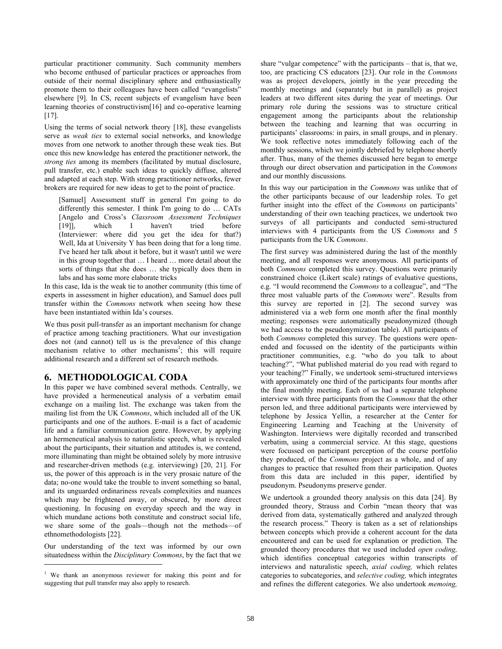particular practitioner community. Such community members who become enthused of particular practices or approaches from outside of their normal disciplinary sphere and enthusiastically promote them to their colleagues have been called "evangelists" elsewhere [9]. In CS, recent subjects of evangelism have been learning theories of constructivism[16] and co-operative learning [17].

Using the terms of social network theory [18], these evangelists serve as *weak ties* to external social networks, and knowledge moves from one network to another through these weak ties. But once this new knowledge has entered the practitioner network, the *strong ties* among its members (facilitated by mutual disclosure, pull transfer, etc.) enable such ideas to quickly diffuse, altered and adapted at each step. With strong practitioner networks, fewer brokers are required for new ideas to get to the point of practice.

[Samuel] Assessment stuff in general I'm going to do differently this semester. I think I'm going to do … CATs [Angelo and Cross's *Classroom Assessment Techniques* [19]], which I haven't tried before (Interviewer: where did you get the idea for that?) Well, Ida at University Y has been doing that for a long time. I've heard her talk about it before, but it wasn't until we were in this group together that … I heard … more detail about the sorts of things that she does … she typically does them in labs and has some more elaborate tricks

In this case, Ida is the weak tie to another community (this time of experts in assessment in higher education), and Samuel does pull transfer within the *Commons* network when seeing how these have been instantiated within Ida's courses.

We thus posit pull-transfer as an important mechanism for change of practice among teaching practitioners. What our investigation does not (and cannot) tell us is the prevalence of this change mechanism relative to other mechanisms<sup>1</sup>; this will require additional research and a different set of research methods.

# **6. METHODOLOGICAL CODA**

In this paper we have combined several methods. Centrally, we have provided a hermeneutical analysis of a verbatim email exchange on a mailing list. The exchange was taken from the mailing list from the UK *Commons*, which included all of the UK participants and one of the authors. E-mail is a fact of academic life and a familiar communication genre. However, by applying an hermeneutical analysis to naturalistic speech, what is revealed about the participants, their situation and attitudes is, we contend, more illuminating than might be obtained solely by more intrusive and researcher-driven methods (e.g. interviewing) [20, 21]. For us, the power of this approach is in the very prosaic nature of the data; no-one would take the trouble to invent something so banal, and its unguarded ordinariness reveals complexities and nuances which may be frightened away, or obscured, by more direct questioning. In focusing on everyday speech and the way in which mundane actions both constitute and construct social life, we share some of the goals—though not the methods—of ethnomethodologists [22].

Our understanding of the text was informed by our own situatedness within the *Disciplinary Commons*, by the fact that we

 $\overline{a}$ 

share "vulgar competence" with the participants – that is, that we, too, are practicing CS educators [23]. Our role in the *Commons*  was as project developers, jointly in the year preceding the monthly meetings and (separately but in parallel) as project leaders at two different sites during the year of meetings. Our primary role during the sessions was to structure critical engagement among the participants about the relationship between the teaching and learning that was occurring in participants' classrooms: in pairs, in small groups, and in plenary. We took reflective notes immediately following each of the monthly sessions, which we jointly debriefed by telephone shortly after. Thus, many of the themes discussed here began to emerge through our direct observation and participation in the *Commons*  and our monthly discussions*.* 

In this way our participation in the *Commons* was unlike that of the other participants because of our leadership roles. To get further insight into the effect of the *Commons* on participants' understanding of their own teaching practices, we undertook two surveys of all participants and conducted semi-structured interviews with 4 participants from the US *Commons* and 5 participants from the UK *Commons*.

The first survey was administered during the last of the monthly meeting, and all responses were anonymous. All participants of both *Commons* completed this survey. Questions were primarily constrained choice (Likert scale) ratings of evaluative questions, e.g. "I would recommend the *Commons* to a colleague", and "The three most valuable parts of the *Commons* were". Results from this survey are reported in [2]. The second survey was administered via a web form one month after the final monthly meeting; responses were automatically pseudonymized (though we had access to the pseudonymization table). All participants of both *Commons* completed this survey. The questions were openended and focussed on the identity of the participants within practitioner communities, e.g. "who do you talk to about teaching?", "What published material do you read with regard to your teaching?" Finally, we undertook semi-structured interviews with approximately one third of the participants four months after the final monthly meeting. Each of us had a separate telephone interview with three participants from the *Commons* that the other person led, and three additional participants were interviewed by telephone by Jessica Yellin, a researcher at the Center for Engineering Learning and Teaching at the University of Washington. Interviews were digitally recorded and transcribed verbatim, using a commercial service. At this stage, questions were focussed on participant perception of the course portfolio they produced, of the *Commons* project as a whole, and of any changes to practice that resulted from their participation. Quotes from this data are included in this paper, identified by pseudonym. Pseudonyms preserve gender.

We undertook a grounded theory analysis on this data [24]. By grounded theory, Strauss and Corbin "mean theory that was derived from data, systematically gathered and analyzed through the research process." Theory is taken as a set of relationships between concepts which provide a coherent account for the data encountered and can be used for explanation or prediction. The grounded theory procedures that we used included *open coding,*  which identifies conceptual categories within transcripts of interviews and naturalistic speech, *axial coding,* which relates categories to subcategories, and *selective coding,* which integrates and refines the different categories. We also undertook *memoing,* 

<sup>&</sup>lt;sup>1</sup> We thank an anonymous reviewer for making this point and for suggesting that pull transfer may also apply to research.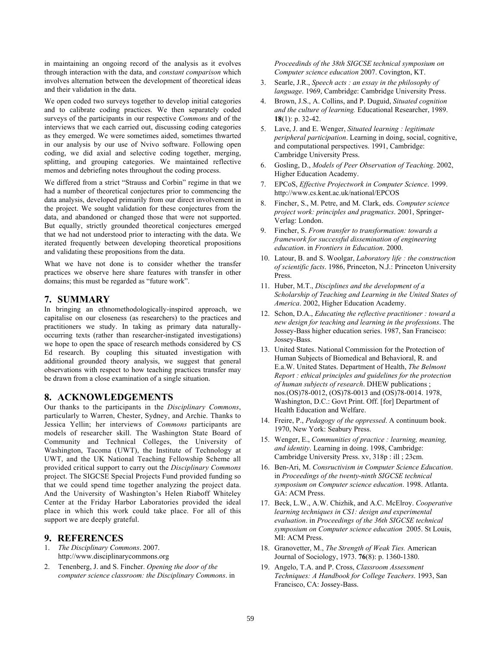in maintaining an ongoing record of the analysis as it evolves through interaction with the data, and *constant comparison* which involves alternation between the development of theoretical ideas and their validation in the data.

We open coded two surveys together to develop initial categories and to calibrate coding practices. We then separately coded surveys of the participants in our respective *Commons* and of the interviews that we each carried out, discussing coding categories as they emerged. We were sometimes aided, sometimes thwarted in our analysis by our use of Nvivo software. Following open coding, we did axial and selective coding together, merging, splitting, and grouping categories. We maintained reflective memos and debriefing notes throughout the coding process.

We differed from a strict "Strauss and Corbin" regime in that we had a number of theoretical conjectures prior to commencing the data analysis, developed primarily from our direct involvement in the project. We sought validation for these conjectures from the data, and abandoned or changed those that were not supported. But equally, strictly grounded theoretical conjectures emerged that we had not understood prior to interacting with the data. We iterated frequently between developing theoretical propositions and validating these propositions from the data.

What we have not done is to consider whether the transfer practices we observe here share features with transfer in other domains; this must be regarded as "future work".

## **7. SUMMARY**

In bringing an ethnomethodologically-inspired approach, we capitalise on our closeness (as researchers) to the practices and practitioners we study. In taking as primary data naturallyoccurring texts (rather than researcher-instigated investigations) we hope to open the space of research methods considered by CS Ed research. By coupling this situated investigation with additional grounded theory analysis, we suggest that general observations with respect to how teaching practices transfer may be drawn from a close examination of a single situation.

#### **8. ACKNOWLEDGEMENTS**

Our thanks to the participants in the *Disciplinary Commons*, particularly to Warren, Chester, Sydney, and Archie. Thanks to Jessica Yellin; her interviews of *Commons* participants are models of researcher skill. The Washington State Board of Community and Technical Colleges, the University of Washington, Tacoma (UWT), the Institute of Technology at UWT, and the UK National Teaching Fellowship Scheme all provided critical support to carry out the *Disciplinary Commons*  project. The SIGCSE Special Projects Fund provided funding so that we could spend time together analyzing the project data. And the University of Washington's Helen Riaboff Whiteley Center at the Friday Harbor Laboratories provided the ideal place in which this work could take place. For all of this support we are deeply grateful.

#### **9. REFERENCES**

- 1. *The Disciplinary Commons*. 2007. http://www.disciplinarycommons.org
- 2. Tenenberg, J. and S. Fincher. *Opening the door of the computer science classroom: the Disciplinary Commons*. in

*Proceedinds of the 38th SIGCSE technical symposium on Computer science education* 2007. Covington, KT.

- 3. Searle, J.R., *Speech acts : an essay in the philosophy of language*. 1969, Cambridge: Cambridge University Press.
- 4. Brown, J.S., A. Collins, and P. Duguid, *Situated cognition and the culture of learning.* Educational Researcher, 1989. **18**(1): p. 32-42.
- 5. Lave, J. and E. Wenger, *Situated learning : legitimate peripheral participation*. Learning in doing, social, cognitive, and computational perspectives. 1991, Cambridge: Cambridge University Press.
- 6. Gosling, D., *Models of Peer Observation of Teaching*. 2002, Higher Education Academy.
- 7. EPCoS, *Effective Projectwork in Computer Science*. 1999. http://www.cs.kent.ac.uk/national/EPCOS
- 8. Fincher, S., M. Petre, and M. Clark, eds. *Computer science project work: principles and pragmatics*. 2001, Springer-Verlag: London.
- 9. Fincher, S. *From transfer to transformation: towards a framework for successful dissemination of engineering education*. in *Frontiers in Education*. 2000.
- 10. Latour, B. and S. Woolgar, *Laboratory life : the construction of scientific facts*. 1986, Princeton, N.J.: Princeton University Press.
- 11. Huber, M.T., *Disciplines and the development of a Scholarship of Teaching and Learning in the United States of America*. 2002, Higher Education Academy.
- 12. Schon, D.A., *Educating the reflective practitioner : toward a new design for teaching and learning in the professions*. The Jossey-Bass higher education series. 1987, San Francisco: Jossey-Bass.
- 13. United States. National Commission for the Protection of Human Subjects of Biomedical and Behavioral, R. and E.a.W. United States. Department of Health, *The Belmont Report : ethical principles and guidelines for the protection of human subjects of research*. DHEW publications ; nos.(OS)78-0012, (OS)78-0013 and (OS)78-0014. 1978, Washington, D.C.: Govt Print. Off. [for] Department of Health Education and Welfare.
- 14. Freire, P., *Pedagogy of the oppressed*. A continuum book. 1970, New York: Seabury Press.
- 15. Wenger, E., *Communities of practice : learning, meaning, and identity*. Learning in doing. 1998, Cambridge: Cambridge University Press. xv, 318p : ill ; 23cm.
- 16. Ben-Ari, M. *Consructivism in Computer Science Education*. in *Proceedings of the twenty-ninth SIGCSE technical symposium on Computer science education*. 1998. Atlanta. GA: ACM Press.
- 17. Beck, L.W., A.W. Chizhik, and A.C. McElroy. *Cooperative learning techniques in CS1: design and experimental evaluation*. in *Proceedings of the 36th SIGCSE technical symposium on Computer science education* 2005. St Louis, MI: ACM Press.
- 18. Granovetter, M., *The Strength of Weak Ties.* American Journal of Sociology, 1973. **76**(8): p. 1360-1380.
- 19. Angelo, T.A. and P. Cross, *Classroom Assessment Techniques: A Handbook for College Teachers*. 1993, San Francisco, CA: Jossey-Bass.